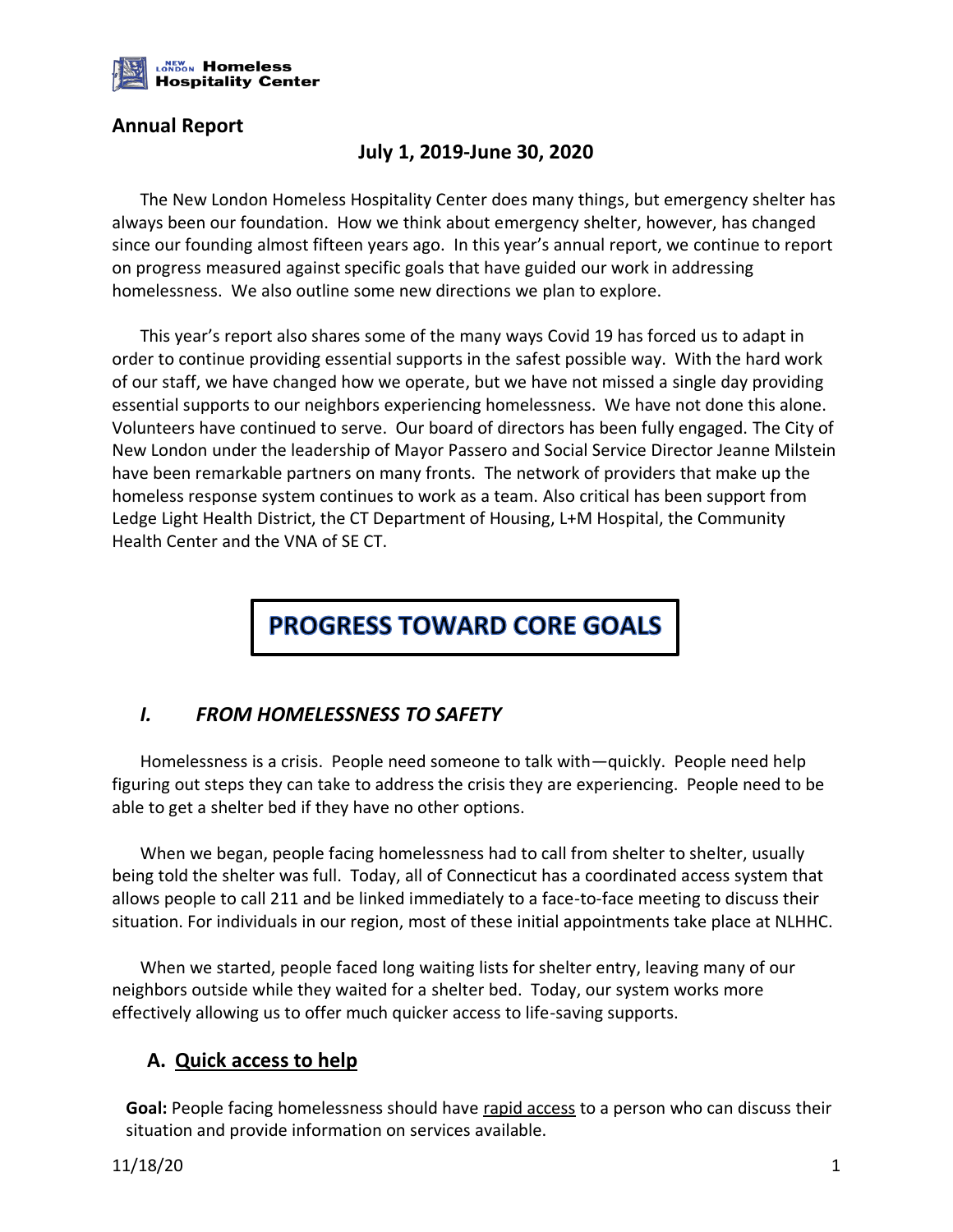

#### **Annual Report**

# **July 1, 2019-June 30, 2020**

The New London Homeless Hospitality Center does many things, but emergency shelter has always been our foundation. How we think about emergency shelter, however, has changed since our founding almost fifteen years ago. In this year's annual report, we continue to report on progress measured against specific goals that have guided our work in addressing homelessness. We also outline some new directions we plan to explore.

This year's report also shares some of the many ways Covid 19 has forced us to adapt in order to continue providing essential supports in the safest possible way. With the hard work of our staff, we have changed how we operate, but we have not missed a single day providing essential supports to our neighbors experiencing homelessness. We have not done this alone. Volunteers have continued to serve. Our board of directors has been fully engaged. The City of New London under the leadership of Mayor Passero and Social Service Director Jeanne Milstein have been remarkable partners on many fronts. The network of providers that make up the homeless response system continues to work as a team. Also critical has been support from Ledge Light Health District, the CT Department of Housing, L+M Hospital, the Community Health Center and the VNA of SE CT.

# **PROGRESS TOWARD CORE GOALS**

#### *I. FROM HOMELESSNESS TO SAFETY*

Homelessness is a crisis. People need someone to talk with—quickly. People need help figuring out steps they can take to address the crisis they are experiencing. People need to be able to get a shelter bed if they have no other options.

When we began, people facing homelessness had to call from shelter to shelter, usually being told the shelter was full. Today, all of Connecticut has a coordinated access system that allows people to call 211 and be linked immediately to a face-to-face meeting to discuss their situation. For individuals in our region, most of these initial appointments take place at NLHHC.

When we started, people faced long waiting lists for shelter entry, leaving many of our neighbors outside while they waited for a shelter bed. Today, our system works more effectively allowing us to offer much quicker access to life-saving supports.

#### **A. Quick access to help**

**Goal:** People facing homelessness should have rapid access to a person who can discuss their situation and provide information on services available.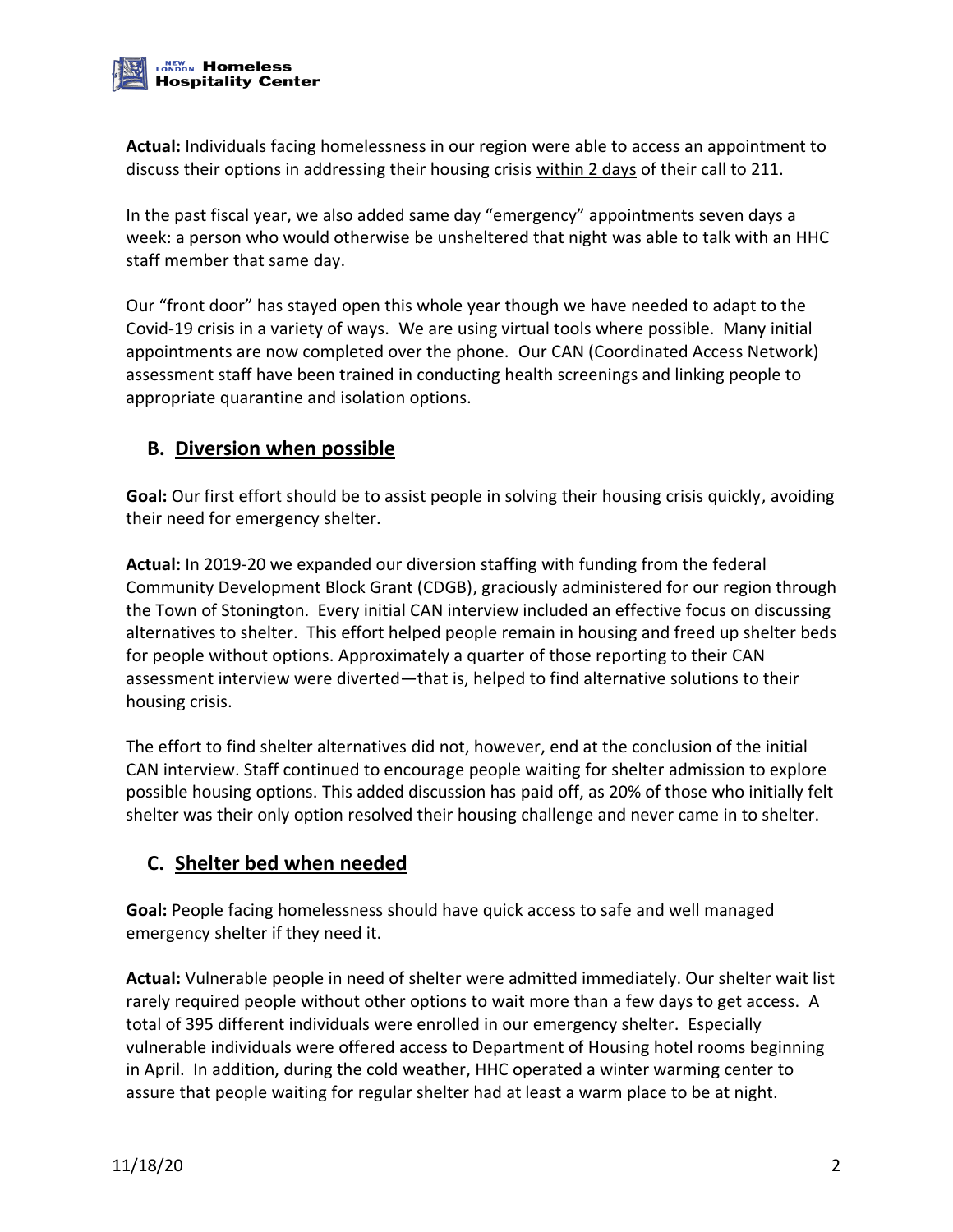

**Actual:** Individuals facing homelessness in our region were able to access an appointment to discuss their options in addressing their housing crisis within 2 days of their call to 211.

In the past fiscal year, we also added same day "emergency" appointments seven days a week: a person who would otherwise be unsheltered that night was able to talk with an HHC staff member that same day.

Our "front door" has stayed open this whole year though we have needed to adapt to the Covid-19 crisis in a variety of ways. We are using virtual tools where possible. Many initial appointments are now completed over the phone. Our CAN (Coordinated Access Network) assessment staff have been trained in conducting health screenings and linking people to appropriate quarantine and isolation options.

#### **B. Diversion when possible**

**Goal:** Our first effort should be to assist people in solving their housing crisis quickly, avoiding their need for emergency shelter.

**Actual:** In 2019-20 we expanded our diversion staffing with funding from the federal Community Development Block Grant (CDGB), graciously administered for our region through the Town of Stonington. Every initial CAN interview included an effective focus on discussing alternatives to shelter. This effort helped people remain in housing and freed up shelter beds for people without options. Approximately a quarter of those reporting to their CAN assessment interview were diverted—that is, helped to find alternative solutions to their housing crisis.

The effort to find shelter alternatives did not, however, end at the conclusion of the initial CAN interview. Staff continued to encourage people waiting for shelter admission to explore possible housing options. This added discussion has paid off, as 20% of those who initially felt shelter was their only option resolved their housing challenge and never came in to shelter.

#### **C. Shelter bed when needed**

**Goal:** People facing homelessness should have quick access to safe and well managed emergency shelter if they need it.

**Actual:** Vulnerable people in need of shelter were admitted immediately. Our shelter wait list rarely required people without other options to wait more than a few days to get access. A total of 395 different individuals were enrolled in our emergency shelter. Especially vulnerable individuals were offered access to Department of Housing hotel rooms beginning in April. In addition, during the cold weather, HHC operated a winter warming center to assure that people waiting for regular shelter had at least a warm place to be at night.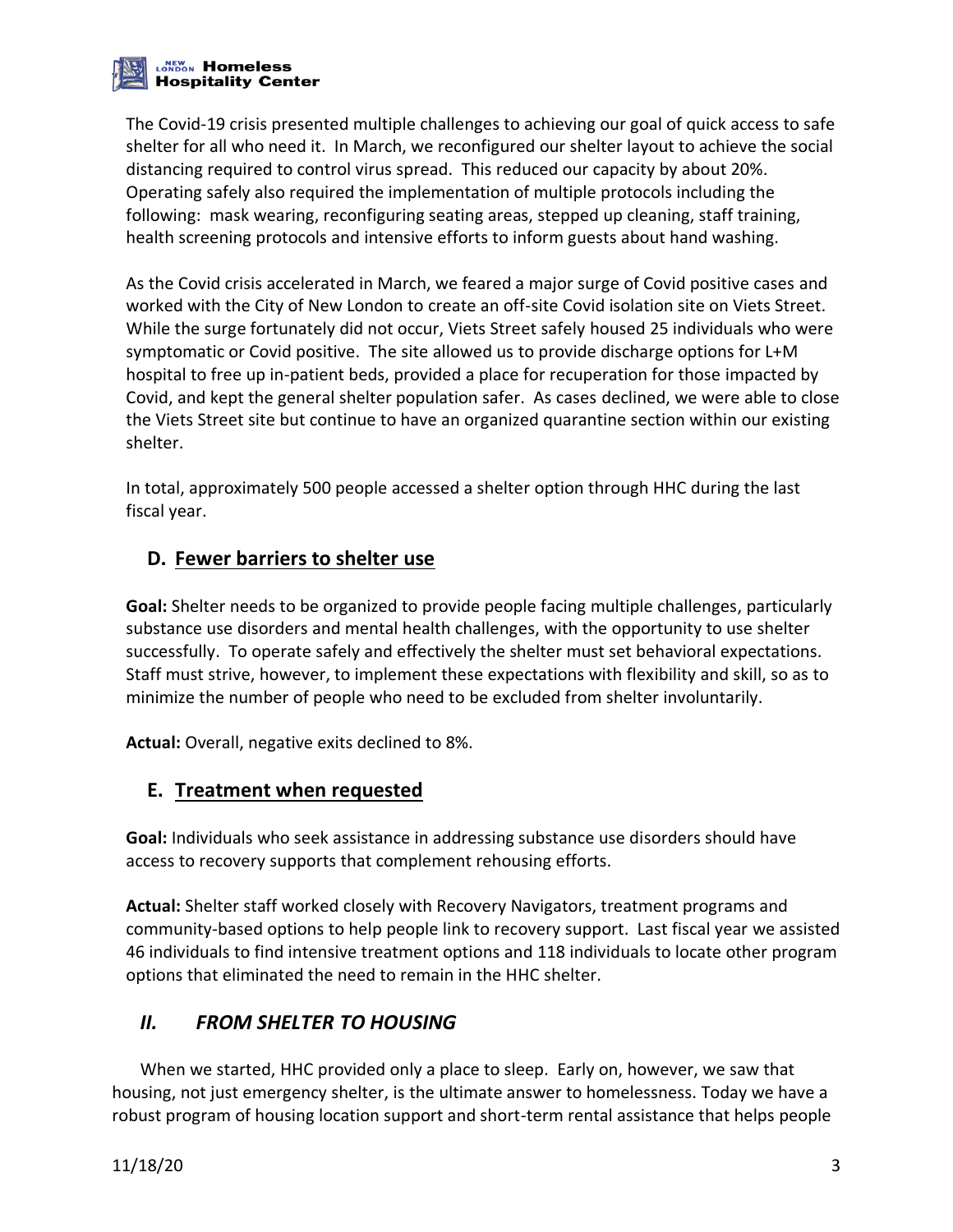

The Covid-19 crisis presented multiple challenges to achieving our goal of quick access to safe shelter for all who need it. In March, we reconfigured our shelter layout to achieve the social distancing required to control virus spread. This reduced our capacity by about 20%. Operating safely also required the implementation of multiple protocols including the following: mask wearing, reconfiguring seating areas, stepped up cleaning, staff training, health screening protocols and intensive efforts to inform guests about hand washing.

As the Covid crisis accelerated in March, we feared a major surge of Covid positive cases and worked with the City of New London to create an off-site Covid isolation site on Viets Street. While the surge fortunately did not occur, Viets Street safely housed 25 individuals who were symptomatic or Covid positive. The site allowed us to provide discharge options for L+M hospital to free up in-patient beds, provided a place for recuperation for those impacted by Covid, and kept the general shelter population safer. As cases declined, we were able to close the Viets Street site but continue to have an organized quarantine section within our existing shelter.

In total, approximately 500 people accessed a shelter option through HHC during the last fiscal year.

# **D. Fewer barriers to shelter use**

**Goal:** Shelter needs to be organized to provide people facing multiple challenges, particularly substance use disorders and mental health challenges, with the opportunity to use shelter successfully. To operate safely and effectively the shelter must set behavioral expectations. Staff must strive, however, to implement these expectations with flexibility and skill, so as to minimize the number of people who need to be excluded from shelter involuntarily.

**Actual:** Overall, negative exits declined to 8%.

#### **E. Treatment when requested**

**Goal:** Individuals who seek assistance in addressing substance use disorders should have access to recovery supports that complement rehousing efforts.

**Actual:** Shelter staff worked closely with Recovery Navigators, treatment programs and community-based options to help people link to recovery support. Last fiscal year we assisted 46 individuals to find intensive treatment options and 118 individuals to locate other program options that eliminated the need to remain in the HHC shelter.

#### *II. FROM SHELTER TO HOUSING*

When we started, HHC provided only a place to sleep. Early on, however, we saw that housing, not just emergency shelter, is the ultimate answer to homelessness. Today we have a robust program of housing location support and short-term rental assistance that helps people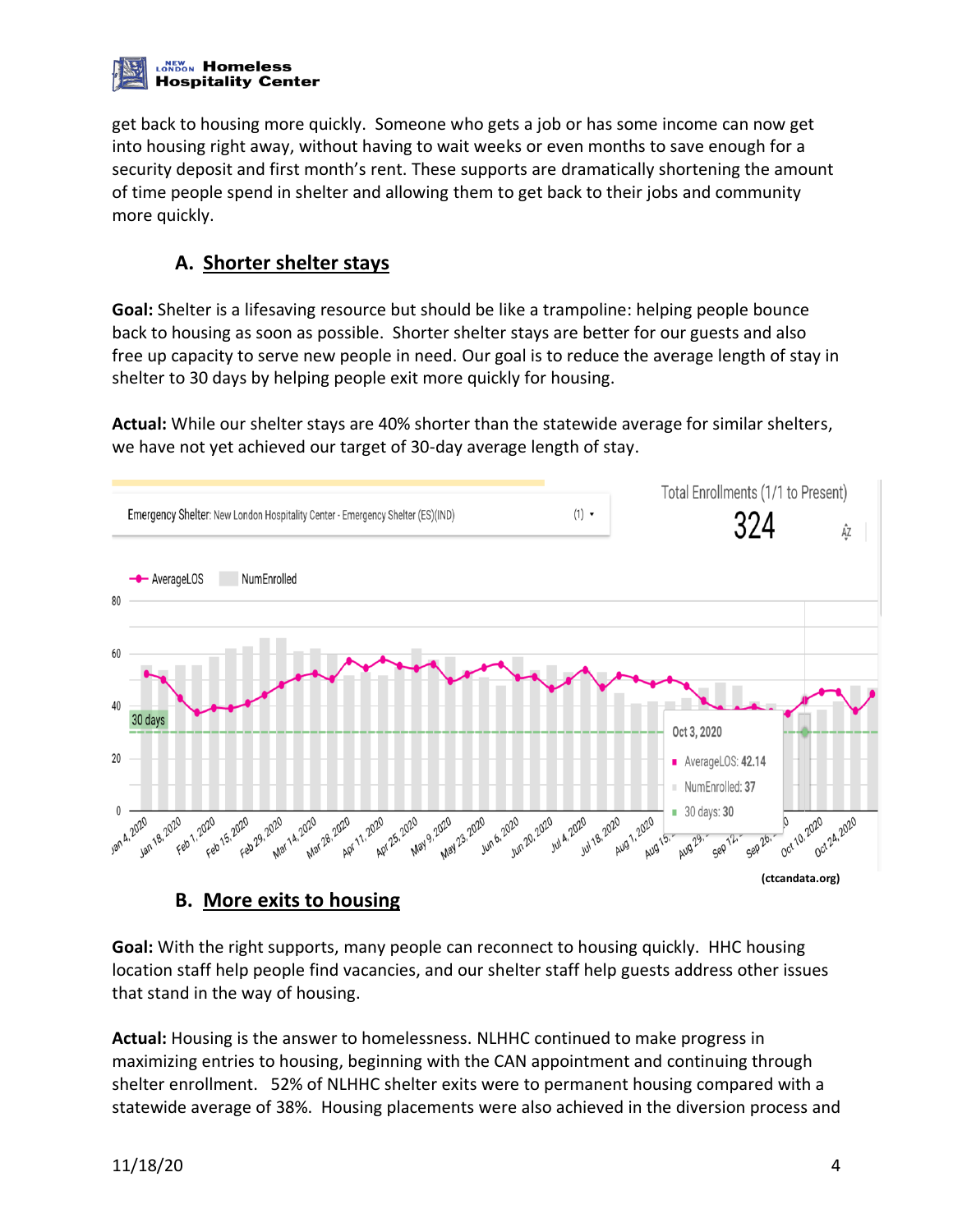

get back to housing more quickly. Someone who gets a job or has some income can now get into housing right away, without having to wait weeks or even months to save enough for a security deposit and first month's rent. These supports are dramatically shortening the amount of time people spend in shelter and allowing them to get back to their jobs and community more quickly.

# **A. Shorter shelter stays**

**Goal:** Shelter is a lifesaving resource but should be like a trampoline: helping people bounce back to housing as soon as possible. Shorter shelter stays are better for our guests and also free up capacity to serve new people in need. Our goal is to reduce the average length of stay in shelter to 30 days by helping people exit more quickly for housing.

**Actual:** While our shelter stays are 40% shorter than the statewide average for similar shelters, we have not yet achieved our target of 30-day average length of stay.



#### **B. More exits to housing**

**Goal:** With the right supports, many people can reconnect to housing quickly. HHC housing location staff help people find vacancies, and our shelter staff help guests address other issues that stand in the way of housing.

**Actual:** Housing is the answer to homelessness. NLHHC continued to make progress in maximizing entries to housing, beginning with the CAN appointment and continuing through shelter enrollment. 52% of NLHHC shelter exits were to permanent housing compared with a statewide average of 38%. Housing placements were also achieved in the diversion process and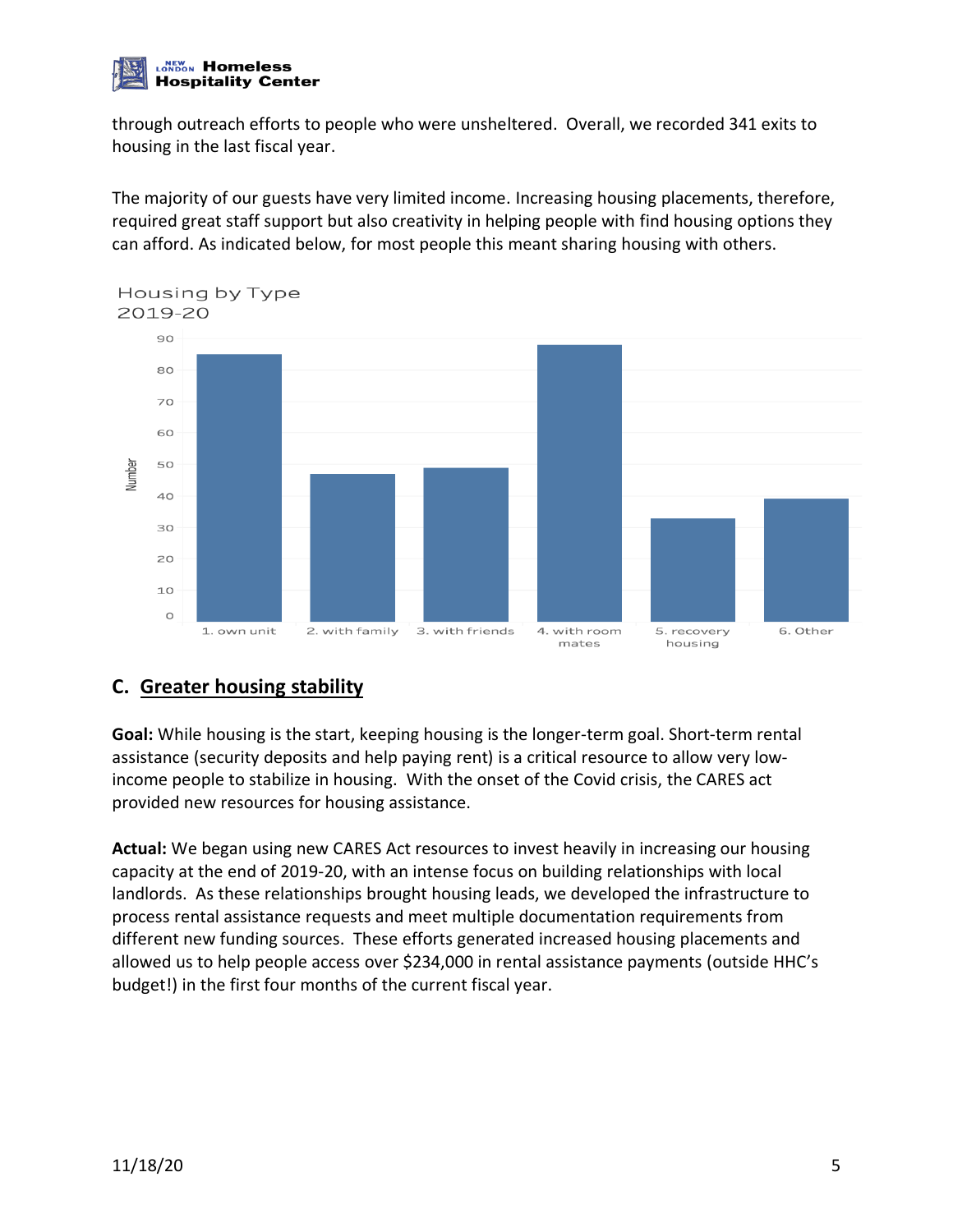

through outreach efforts to people who were unsheltered. Overall, we recorded 341 exits to housing in the last fiscal year.

The majority of our guests have very limited income. Increasing housing placements, therefore, required great staff support but also creativity in helping people with find housing options they can afford. As indicated below, for most people this meant sharing housing with others.



# **C. Greater housing stability**

**Goal:** While housing is the start, keeping housing is the longer-term goal. Short-term rental assistance (security deposits and help paying rent) is a critical resource to allow very lowincome people to stabilize in housing. With the onset of the Covid crisis, the CARES act provided new resources for housing assistance.

**Actual:** We began using new CARES Act resources to invest heavily in increasing our housing capacity at the end of 2019-20, with an intense focus on building relationships with local landlords. As these relationships brought housing leads, we developed the infrastructure to process rental assistance requests and meet multiple documentation requirements from different new funding sources. These efforts generated increased housing placements and allowed us to help people access over \$234,000 in rental assistance payments (outside HHC's budget!) in the first four months of the current fiscal year.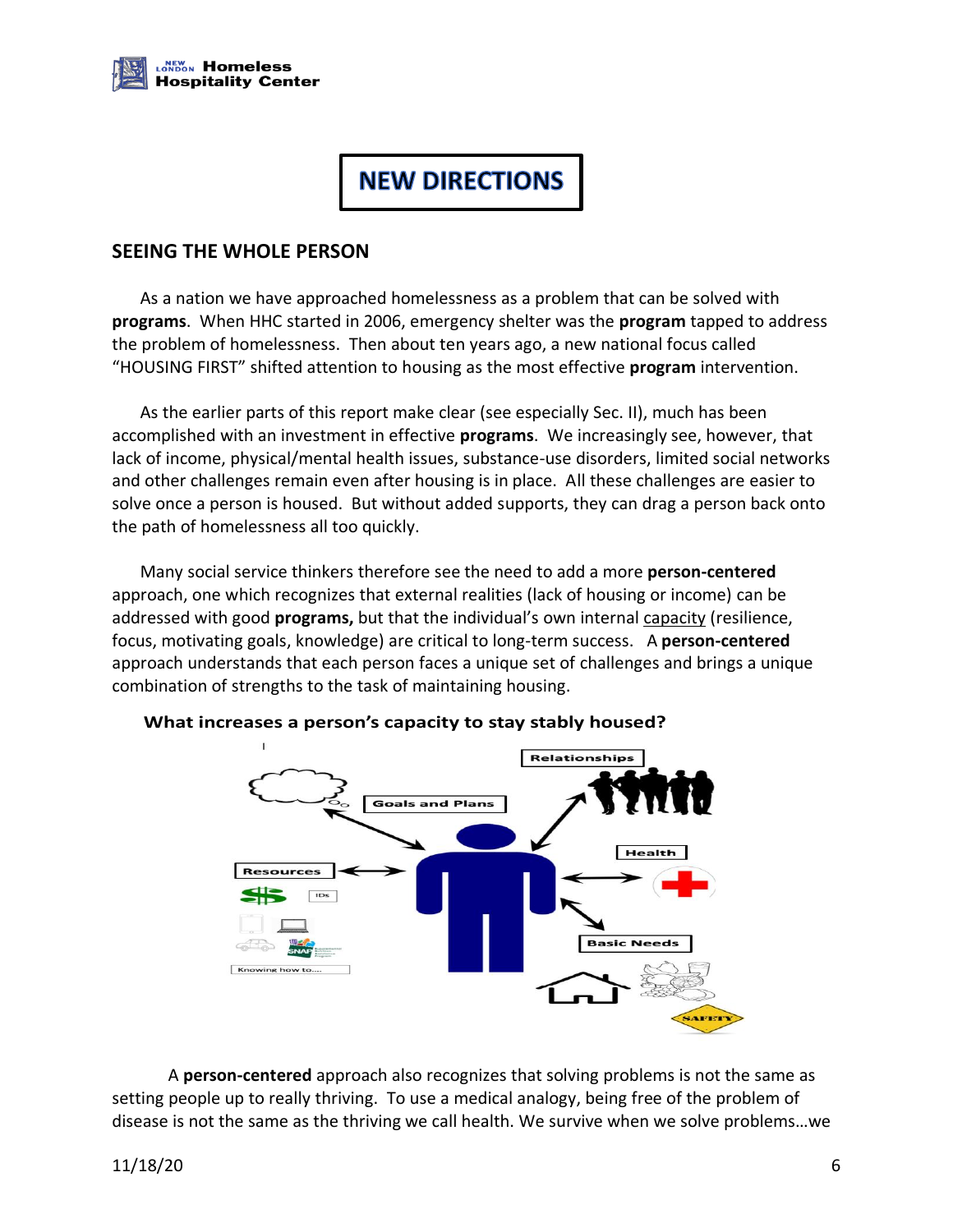

# **NEW DIRECTIONS**

#### **SEEING THE WHOLE PERSON**

As a nation we have approached homelessness as a problem that can be solved with **programs**. When HHC started in 2006, emergency shelter was the **program** tapped to address the problem of homelessness. Then about ten years ago, a new national focus called "HOUSING FIRST" shifted attention to housing as the most effective **program** intervention.

As the earlier parts of this report make clear (see especially Sec. II), much has been accomplished with an investment in effective **programs**. We increasingly see, however, that lack of income, physical/mental health issues, substance-use disorders, limited social networks and other challenges remain even after housing is in place. All these challenges are easier to solve once a person is housed. But without added supports, they can drag a person back onto the path of homelessness all too quickly.

Many social service thinkers therefore see the need to add a more **person-centered** approach, one which recognizes that external realities (lack of housing or income) can be addressed with good **programs,** but that the individual's own internal capacity (resilience, focus, motivating goals, knowledge) are critical to long-term success. A **person-centered** approach understands that each person faces a unique set of challenges and brings a unique combination of strengths to the task of maintaining housing.



A **person-centered** approach also recognizes that solving problems is not the same as setting people up to really thriving. To use a medical analogy, being free of the problem of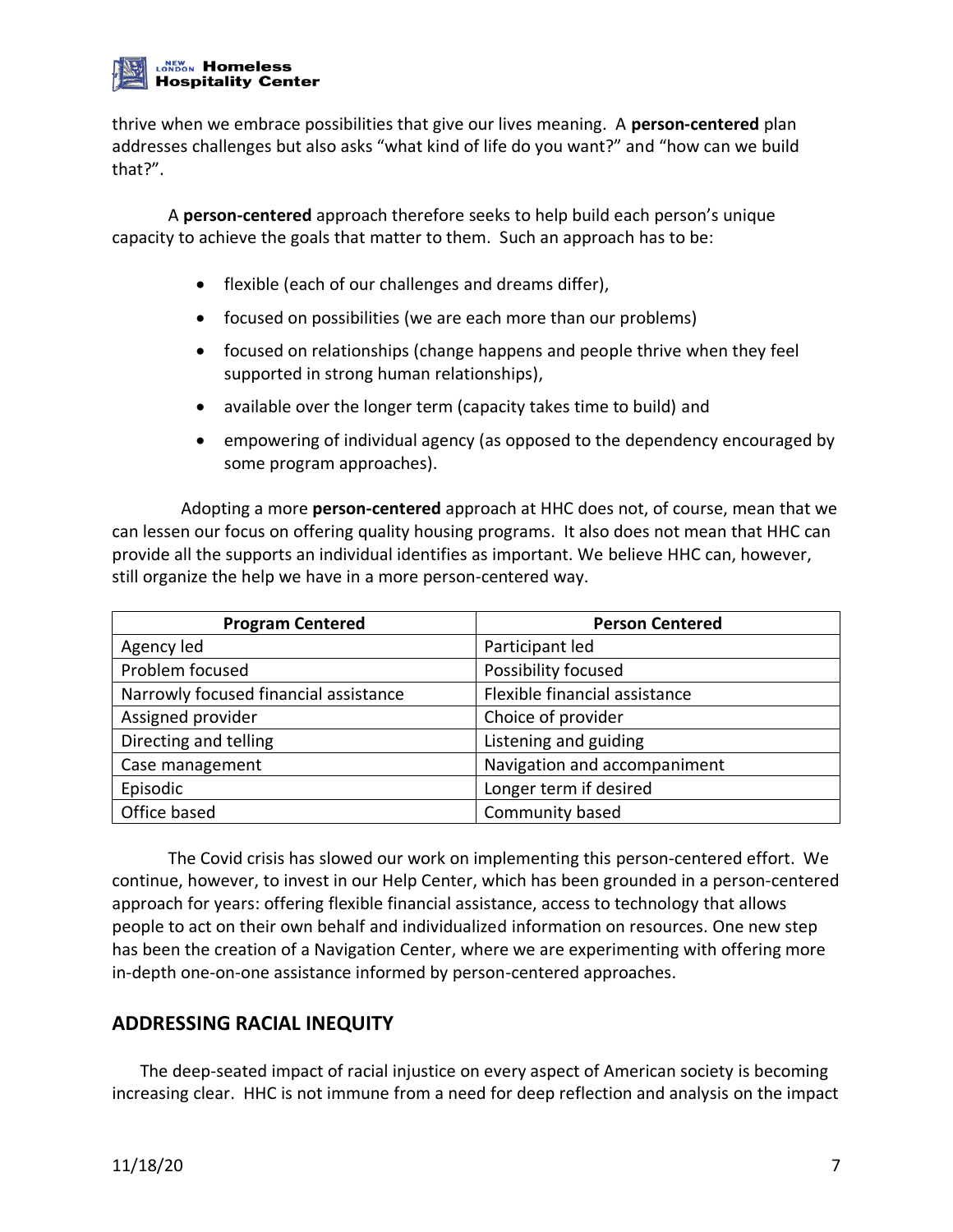#### **LONDON Homeless Hospitality Center**

thrive when we embrace possibilities that give our lives meaning. A **person-centered** plan addresses challenges but also asks "what kind of life do you want?" and "how can we build that?".

A **person-centered** approach therefore seeks to help build each person's unique capacity to achieve the goals that matter to them. Such an approach has to be:

- flexible (each of our challenges and dreams differ),
- focused on possibilities (we are each more than our problems)
- focused on relationships (change happens and people thrive when they feel supported in strong human relationships),
- available over the longer term (capacity takes time to build) and
- empowering of individual agency (as opposed to the dependency encouraged by some program approaches).

 Adopting a more **person-centered** approach at HHC does not, of course, mean that we can lessen our focus on offering quality housing programs. It also does not mean that HHC can provide all the supports an individual identifies as important. We believe HHC can, however, still organize the help we have in a more person-centered way.

| <b>Program Centered</b>               | <b>Person Centered</b>        |
|---------------------------------------|-------------------------------|
| Agency led                            | Participant led               |
| Problem focused                       | Possibility focused           |
| Narrowly focused financial assistance | Flexible financial assistance |
| Assigned provider                     | Choice of provider            |
| Directing and telling                 | Listening and guiding         |
| Case management                       | Navigation and accompaniment  |
| Episodic                              | Longer term if desired        |
| Office based                          | Community based               |

The Covid crisis has slowed our work on implementing this person-centered effort. We continue, however, to invest in our Help Center, which has been grounded in a person-centered approach for years: offering flexible financial assistance, access to technology that allows people to act on their own behalf and individualized information on resources. One new step has been the creation of a Navigation Center, where we are experimenting with offering more in-depth one-on-one assistance informed by person-centered approaches.

# **ADDRESSING RACIAL INEQUITY**

The deep-seated impact of racial injustice on every aspect of American society is becoming increasing clear. HHC is not immune from a need for deep reflection and analysis on the impact